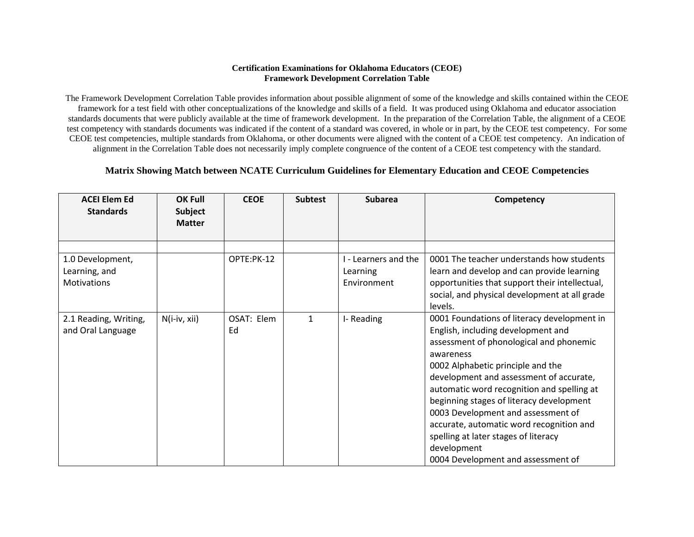## **Certification Examinations for Oklahoma Educators (CEOE) Framework Development Correlation Table**

The Framework Development Correlation Table provides information about possible alignment of some of the knowledge and skills contained within the CEOE framework for a test field with other conceptualizations of the knowledge and skills of a field. It was produced using Oklahoma and educator association standards documents that were publicly available at the time of framework development. In the preparation of the Correlation Table, the alignment of a CEOE test competency with standards documents was indicated if the content of a standard was covered, in whole or in part, by the CEOE test competency. For some CEOE test competencies, multiple standards from Oklahoma, or other documents were aligned with the content of a CEOE test competency. An indication of alignment in the Correlation Table does not necessarily imply complete congruence of the content of a CEOE test competency with the standard.

## **Matrix Showing Match between NCATE Curriculum Guidelines for Elementary Education and CEOE Competencies**

| <b>ACEI Elem Ed</b><br><b>Standards</b>          | <b>OK Full</b><br><b>Subject</b><br><b>Matter</b> | <b>CEOE</b>      | <b>Subtest</b> | <b>Subarea</b>                                  | Competency                                                                                                                                                                                                                                                                                                                                                                                                                                                                                         |
|--------------------------------------------------|---------------------------------------------------|------------------|----------------|-------------------------------------------------|----------------------------------------------------------------------------------------------------------------------------------------------------------------------------------------------------------------------------------------------------------------------------------------------------------------------------------------------------------------------------------------------------------------------------------------------------------------------------------------------------|
| 1.0 Development,<br>Learning, and<br>Motivations |                                                   | OPTE:PK-12       |                | I - Learners and the<br>Learning<br>Environment | 0001 The teacher understands how students<br>learn and develop and can provide learning<br>opportunities that support their intellectual,<br>social, and physical development at all grade<br>levels.                                                                                                                                                                                                                                                                                              |
| 2.1 Reading, Writing,<br>and Oral Language       | $N(i-iv, xii)$                                    | OSAT: Elem<br>Ed | 1              | I-Reading                                       | 0001 Foundations of literacy development in<br>English, including development and<br>assessment of phonological and phonemic<br>awareness<br>0002 Alphabetic principle and the<br>development and assessment of accurate,<br>automatic word recognition and spelling at<br>beginning stages of literacy development<br>0003 Development and assessment of<br>accurate, automatic word recognition and<br>spelling at later stages of literacy<br>development<br>0004 Development and assessment of |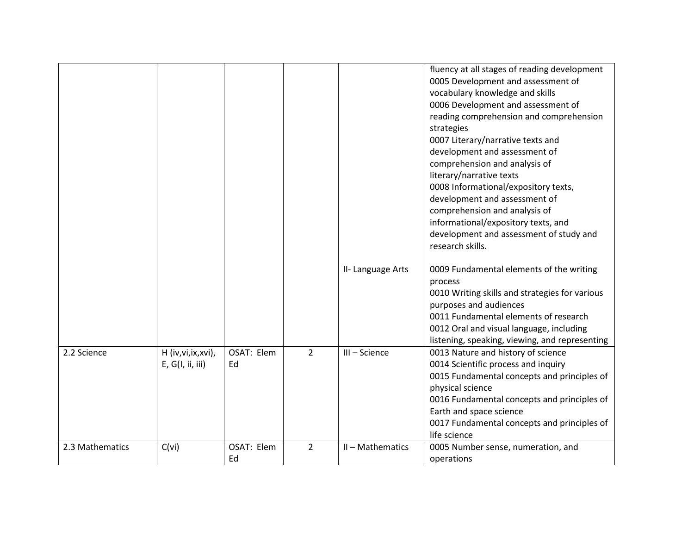|                 |                                          |                  |                |                   | fluency at all stages of reading development<br>0005 Development and assessment of<br>vocabulary knowledge and skills<br>0006 Development and assessment of<br>reading comprehension and comprehension<br>strategies<br>0007 Literary/narrative texts and<br>development and assessment of<br>comprehension and analysis of<br>literary/narrative texts<br>0008 Informational/expository texts,<br>development and assessment of<br>comprehension and analysis of<br>informational/expository texts, and<br>development and assessment of study and<br>research skills. |
|-----------------|------------------------------------------|------------------|----------------|-------------------|-------------------------------------------------------------------------------------------------------------------------------------------------------------------------------------------------------------------------------------------------------------------------------------------------------------------------------------------------------------------------------------------------------------------------------------------------------------------------------------------------------------------------------------------------------------------------|
|                 |                                          |                  |                | II- Language Arts | 0009 Fundamental elements of the writing<br>process<br>0010 Writing skills and strategies for various                                                                                                                                                                                                                                                                                                                                                                                                                                                                   |
|                 |                                          |                  |                |                   | purposes and audiences<br>0011 Fundamental elements of research<br>0012 Oral and visual language, including<br>listening, speaking, viewing, and representing                                                                                                                                                                                                                                                                                                                                                                                                           |
| 2.2 Science     | H (iv, vi, ix, xvi),<br>E, G(I, ii, iii) | OSAT: Elem<br>Ed | $\overline{2}$ | III - Science     | 0013 Nature and history of science<br>0014 Scientific process and inquiry<br>0015 Fundamental concepts and principles of<br>physical science<br>0016 Fundamental concepts and principles of<br>Earth and space science<br>0017 Fundamental concepts and principles of<br>life science                                                                                                                                                                                                                                                                                   |
| 2.3 Mathematics | C(vi)                                    | OSAT: Elem<br>Ed | $\overline{2}$ | II-Mathematics    | 0005 Number sense, numeration, and<br>operations                                                                                                                                                                                                                                                                                                                                                                                                                                                                                                                        |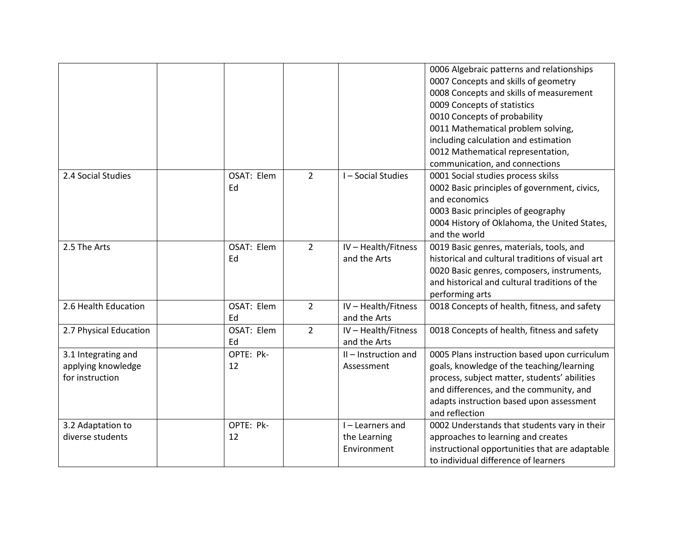|                                                              |                  |                |                                               | 0006 Algebraic patterns and relationships<br>0007 Concepts and skills of geometry<br>0008 Concepts and skills of measurement<br>0009 Concepts of statistics<br>0010 Concepts of probability<br>0011 Mathematical problem solving,<br>including calculation and estimation<br>0012 Mathematical representation,<br>communication, and connections |
|--------------------------------------------------------------|------------------|----------------|-----------------------------------------------|--------------------------------------------------------------------------------------------------------------------------------------------------------------------------------------------------------------------------------------------------------------------------------------------------------------------------------------------------|
| 2.4 Social Studies                                           | OSAT: Elem<br>Ed | $\overline{2}$ | I-Social Studies                              | 0001 Social studies process skilss<br>0002 Basic principles of government, civics,<br>and economics<br>0003 Basic principles of geography<br>0004 History of Oklahoma, the United States,<br>and the world                                                                                                                                       |
| 2.5 The Arts                                                 | OSAT: Elem<br>Ed | $\overline{2}$ | IV-Health/Fitness<br>and the Arts             | 0019 Basic genres, materials, tools, and<br>historical and cultural traditions of visual art<br>0020 Basic genres, composers, instruments,<br>and historical and cultural traditions of the<br>performing arts                                                                                                                                   |
| 2.6 Health Education                                         | OSAT: Elem<br>Ed | $\overline{2}$ | IV-Health/Fitness<br>and the Arts             | 0018 Concepts of health, fitness, and safety                                                                                                                                                                                                                                                                                                     |
| 2.7 Physical Education                                       | OSAT: Elem<br>Ed | $\overline{2}$ | IV-Health/Fitness<br>and the Arts             | 0018 Concepts of health, fitness and safety                                                                                                                                                                                                                                                                                                      |
| 3.1 Integrating and<br>applying knowledge<br>for instruction | OPTE: Pk-<br>12  |                | II-Instruction and<br>Assessment              | 0005 Plans instruction based upon curriculum<br>goals, knowledge of the teaching/learning<br>process, subject matter, students' abilities<br>and differences, and the community, and<br>adapts instruction based upon assessment<br>and reflection                                                                                               |
| 3.2 Adaptation to<br>diverse students                        | OPTE: Pk-<br>12  |                | I-Learners and<br>the Learning<br>Environment | 0002 Understands that students vary in their<br>approaches to learning and creates<br>instructional opportunities that are adaptable<br>to individual difference of learners                                                                                                                                                                     |